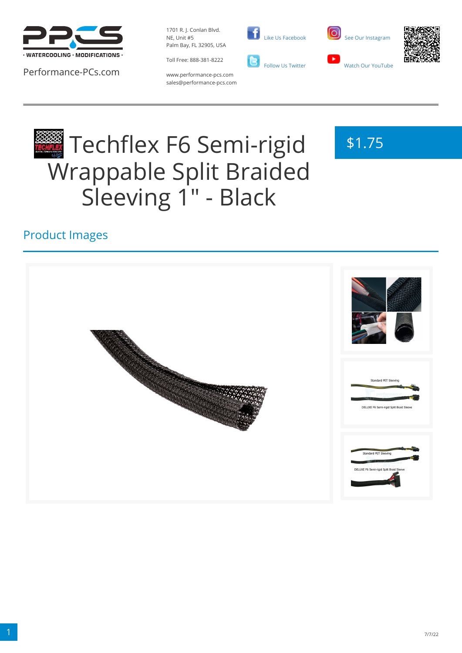

Performance-PCs.com

1701 R. J. Conlan Blvd. NE, Unit #5 Palm Bay, FL 32905, USA



www.performance-pcs.com sales@performance-pcs.com  [Like Us Facebook](https://www.facebook.com/PerformancePCs)  [Follow Us Twitter](https://twitter.com/PerformancePCs)





\$1.75

# Techflex F6 Semi-rigid Wrappable Split Braided Sleeving 1" - Black



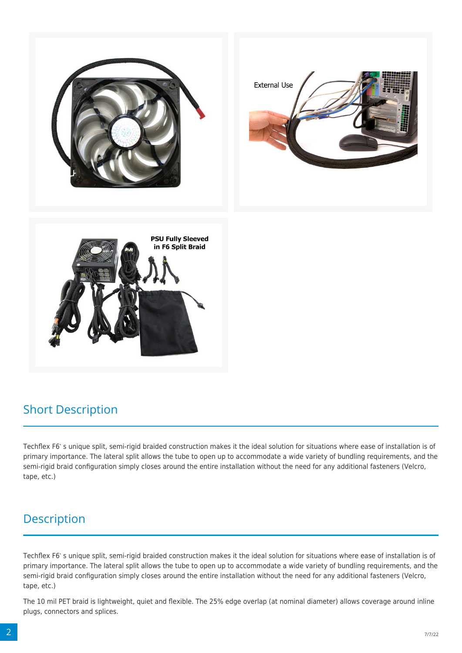

## Short Description

Techflex F6's unique split, semi-rigid braided construction makes it the ideal solution for situations where ease of installation is of primary importance. The lateral split allows the tube to open up to accommodate a wide variety of bundling requirements, and the semi-rigid braid configuration simply closes around the entire installation without the need for any additional fasteners (Velcro, tape, etc.)

## **Description**

Techflex F6's unique split, semi-rigid braided construction makes it the ideal solution for situations where ease of installation is of primary importance. The lateral split allows the tube to open up to accommodate a wide variety of bundling requirements, and the semi-rigid braid configuration simply closes around the entire installation without the need for any additional fasteners (Velcro, tape, etc.)

The 10 mil PET braid is lightweight, quiet and flexible. The 25% edge overlap (at nominal diameter) allows coverage around inline plugs, connectors and splices.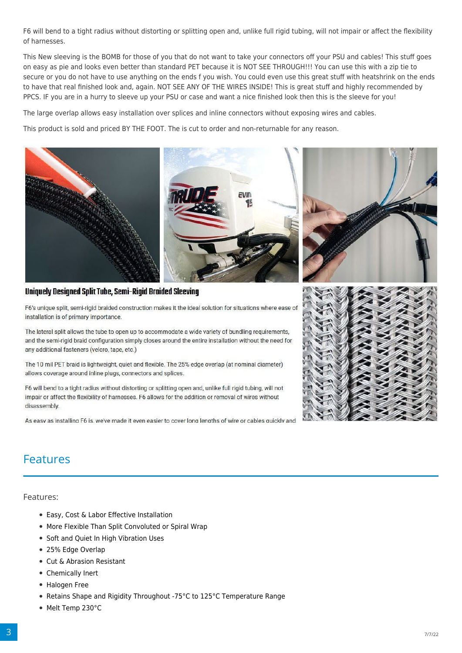F6 will bend to a tight radius without distorting or splitting open and, unlike full rigid tubing, will not impair or affect the flexibility of harnesses.

This New sleeving is the BOMB for those of you that do not want to take your connectors off your PSU and cables! This stuff goes on easy as pie and looks even better than standard PET because it is NOT SEE THROUGH!!! You can use this with a zip tie to secure or you do not have to use anything on the ends f you wish. You could even use this great stuff with heatshrink on the ends to have that real finished look and, again. NOT SEE ANY OF THE WIRES INSIDE! This is great stuff and highly recommended by PPCS. IF you are in a hurry to sleeve up your PSU or case and want a nice finished look then this is the sleeve for you!

The large overlap allows easy installation over splices and inline connectors without exposing wires and cables.

This product is sold and priced BY THE FOOT. The is cut to order and non-returnable for any reason.



#### Uniquely Designed Split Tube, Semi-Rigid Braided Sleeving

F6's unique split, semi-rigid braided construction makes it the ideal solution for situations where ease of installation is of primary importance.

The lateral split allows the tube to open up to accommodate a wide variety of bundling requirements, and the semi-rigid braid configuration simply closes around the entire installation without the need for any additional fasteners (velcro, tape, etc.)

The 10 mil PET braid is lightweight, quiet and flexible. The 25% edge overlap (at nominal diameter) allows coverage around inline plugs, connectors and splices.

F6 will bend to a tight radius without distorting or splitting open and, unlike full rigid tubing, will not impair or affect the flexibility of harnesses. F6 allows for the addition or removal of wires without disassembly.

As easy as installing F6 is. we've made it even easier to cover long lengths of wire or cables quickly and



### Features

Features:

- Easy, Cost & Labor Effective Installation
- More Flexible Than Split Convoluted or Spiral Wrap
- Soft and Quiet In High Vibration Uses
- 25% Edge Overlap
- Cut & Abrasion Resistant
- Chemically Inert
- Halogen Free
- Retains Shape and Rigidity Throughout -75°C to 125°C Temperature Range
- Melt Temp 230°C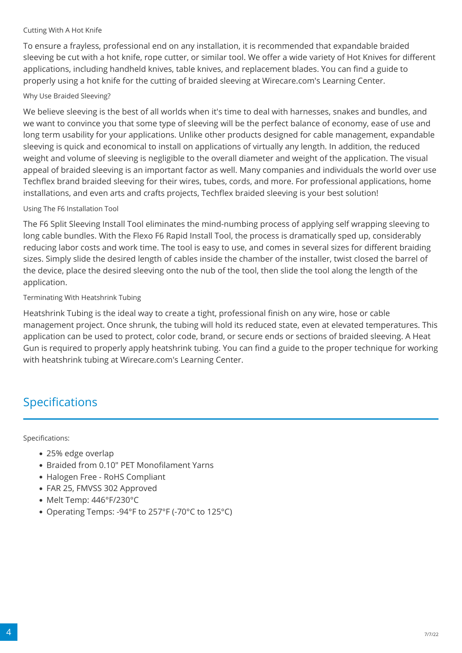#### Cutting With A Hot Knife

To ensure a frayless, professional end on any installation, it is recommended that expandable braided sleeving be cut with a hot knife, rope cutter, or similar tool. We offer a wide variety of Hot Knives for different applications, including handheld knives, table knives, and replacement blades. You can find a guide to properly using a hot knife for the cutting of braided sleeving at Wirecare.com's Learning Center.

#### Why Use Braided Sleeving?

We believe sleeving is the best of all worlds when it's time to deal with harnesses, snakes and bundles, and we want to convince you that some type of sleeving will be the perfect balance of economy, ease of use and long term usability for your applications. Unlike other products designed for cable management, expandable sleeving is quick and economical to install on applications of virtually any length. In addition, the reduced weight and volume of sleeving is negligible to the overall diameter and weight of the application. The visual appeal of braided sleeving is an important factor as well. Many companies and individuals the world over use Techflex brand braided sleeving for their wires, tubes, cords, and more. For professional applications, home installations, and even arts and crafts projects, Techflex braided sleeving is your best solution!

#### Using The F6 Installation Tool

The F6 Split Sleeving Install Tool eliminates the mind-numbing process of applying self wrapping sleeving to long cable bundles. With the Flexo F6 Rapid Install Tool, the process is dramatically sped up, considerably reducing labor costs and work time. The tool is easy to use, and comes in several sizes for different braiding sizes. Simply slide the desired length of cables inside the chamber of the installer, twist closed the barrel of the device, place the desired sleeving onto the nub of the tool, then slide the tool along the length of the application.

Terminating With Heatshrink Tubing

Heatshrink Tubing is the ideal way to create a tight, professional finish on any wire, hose or cable management project. Once shrunk, the tubing will hold its reduced state, even at elevated temperatures. This application can be used to protect, color code, brand, or secure ends or sections of braided sleeving. A Heat Gun is required to properly apply heatshrink tubing. You can find a guide to the proper technique for working with heatshrink tubing at Wirecare.com's Learning Center.

## Specifications

Specifications:

- 25% edge overlap
- Braided from 0.10" PET Monofilament Yarns
- Halogen Free RoHS Compliant
- FAR 25, FMVSS 302 Approved
- Melt Temp: 446°F/230°C
- Operating Temps: -94°F to 257°F (-70°C to 125°C)